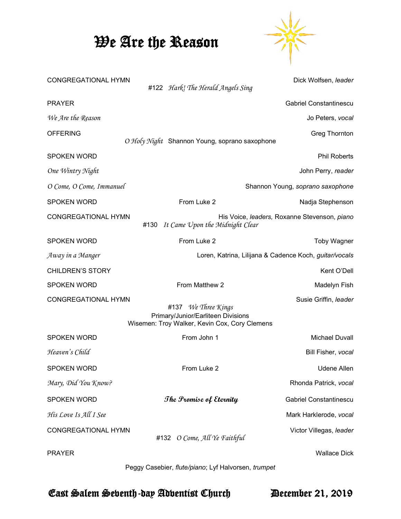## We Are the Reason



| <b>CONGREGATIONAL HYMN</b> | #122 Hark! The Herald Angels Sing                                                                          | Dick Wolfsen, leader             |
|----------------------------|------------------------------------------------------------------------------------------------------------|----------------------------------|
| <b>PRAYER</b>              |                                                                                                            | <b>Gabriel Constantinescu</b>    |
| We Are the Reason          |                                                                                                            | Jo Peters, vocal                 |
| <b>OFFERING</b>            | O Holy Night Shannon Young, soprano saxophone                                                              | <b>Greg Thornton</b>             |
| <b>SPOKEN WORD</b>         |                                                                                                            | <b>Phil Roberts</b>              |
| One Wintry Night           |                                                                                                            | John Perry, reader               |
| O Come, O Come, Immanuel   |                                                                                                            | Shannon Young, soprano saxophone |
| <b>SPOKEN WORD</b>         | From Luke 2                                                                                                | Nadja Stephenson                 |
| <b>CONGREGATIONAL HYMN</b> | His Voice, leaders, Roxanne Stevenson, piano<br>#130<br>It Came Upon the Midnight Clear                    |                                  |
| <b>SPOKEN WORD</b>         | From Luke 2                                                                                                | <b>Toby Wagner</b>               |
| Away in a Manger           | Loren, Katrina, Lilijana & Cadence Koch, guitar/vocals                                                     |                                  |
| <b>CHILDREN'S STORY</b>    |                                                                                                            | Kent O'Dell                      |
| <b>SPOKEN WORD</b>         | From Matthew 2                                                                                             | Madelyn Fish                     |
| <b>CONGREGATIONAL HYMN</b> | #137 We Three Kings<br>Primary/Junior/Earliteen Divisions<br>Wisemen: Troy Walker, Kevin Cox, Cory Clemens | Susie Griffin, leader            |
| <b>SPOKEN WORD</b>         | From John 1                                                                                                | <b>Michael Duvall</b>            |
| Heaven's Child             |                                                                                                            | Bill Fisher, vocal               |
| <b>SPOKEN WORD</b>         | From Luke 2                                                                                                | <b>Udene Allen</b>               |
| Mary, Did You Know?        |                                                                                                            | Rhonda Patrick, vocal            |
| <b>SPOKEN WORD</b>         | The Promise of Eternity                                                                                    | <b>Gabriel Constantinescu</b>    |
| His Love Is All I See      |                                                                                                            | Mark Harklerode, vocal           |
| <b>CONGREGATIONAL HYMN</b> | #132 O Come, All Ye Faithful                                                                               | Victor Villegas, leader          |
| <b>PRAYER</b>              |                                                                                                            | <b>Wallace Dick</b>              |

Peggy Casebier, *flute/piano*; Lyf Halvorsen, *trumpet*

East Salem Seventh-day Adventist Church December 21, 2019